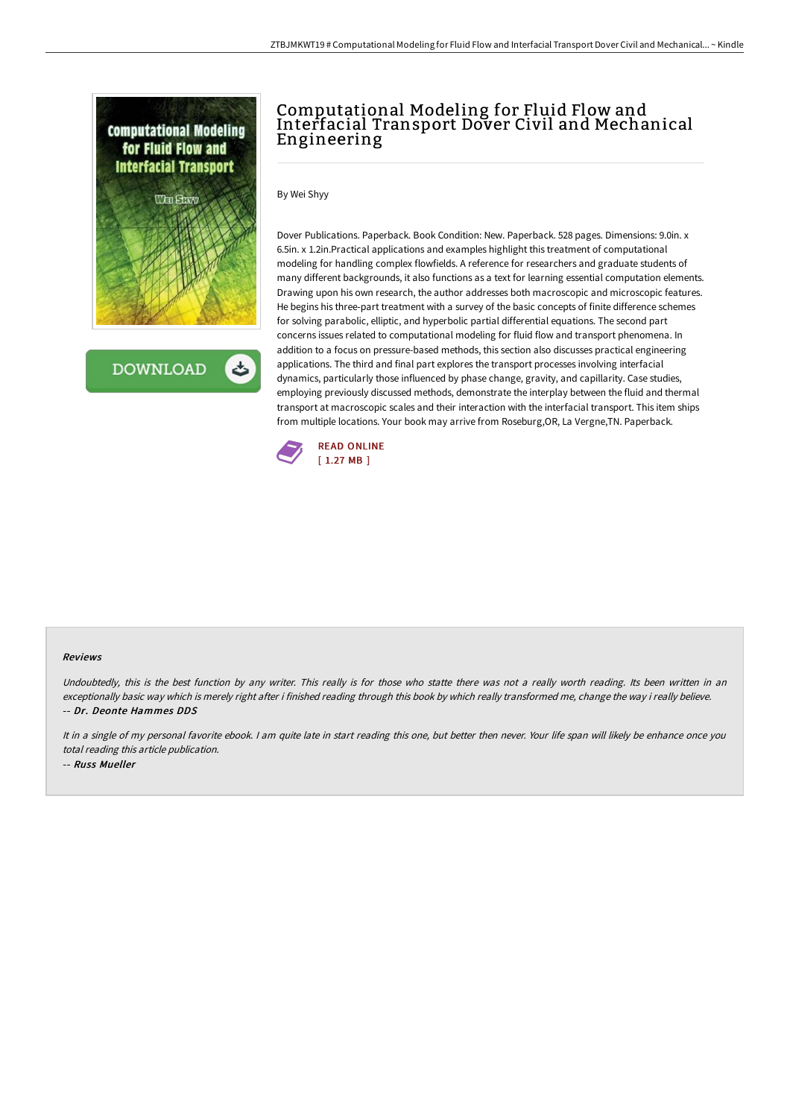

**DOWNLOAD** ٹ

# Computational Modeling for Fluid Flow and Interfacial Transport Dover Civil and Mechanical Engineering

By Wei Shyy

Dover Publications. Paperback. Book Condition: New. Paperback. 528 pages. Dimensions: 9.0in. x 6.5in. x 1.2in.Practical applications and examples highlight this treatment of computational modeling for handling complex flowfields. A reference for researchers and graduate students of many different backgrounds, it also functions as a text for learning essential computation elements. Drawing upon his own research, the author addresses both macroscopic and microscopic features. He begins his three-part treatment with a survey of the basic concepts of finite difference schemes for solving parabolic, elliptic, and hyperbolic partial differential equations. The second part concerns issues related to computational modeling for fluid flow and transport phenomena. In addition to a focus on pressure-based methods, this section also discusses practical engineering applications. The third and final part explores the transport processes involving interfacial dynamics, particularly those influenced by phase change, gravity, and capillarity. Case studies, employing previously discussed methods, demonstrate the interplay between the fluid and thermal transport at macroscopic scales and their interaction with the interfacial transport. This item ships from multiple locations. Your book may arrive from Roseburg,OR, La Vergne,TN. Paperback.



#### Reviews

Undoubtedly, this is the best function by any writer. This really is for those who statte there was not <sup>a</sup> really worth reading. Its been written in an exceptionally basic way which is merely right after i finished reading through this book by which really transformed me, change the way i really believe. -- Dr. Deonte Hammes DDS

It in a single of my personal favorite ebook. I am quite late in start reading this one, but better then never. Your life span will likely be enhance once you total reading this article publication. -- Russ Mueller